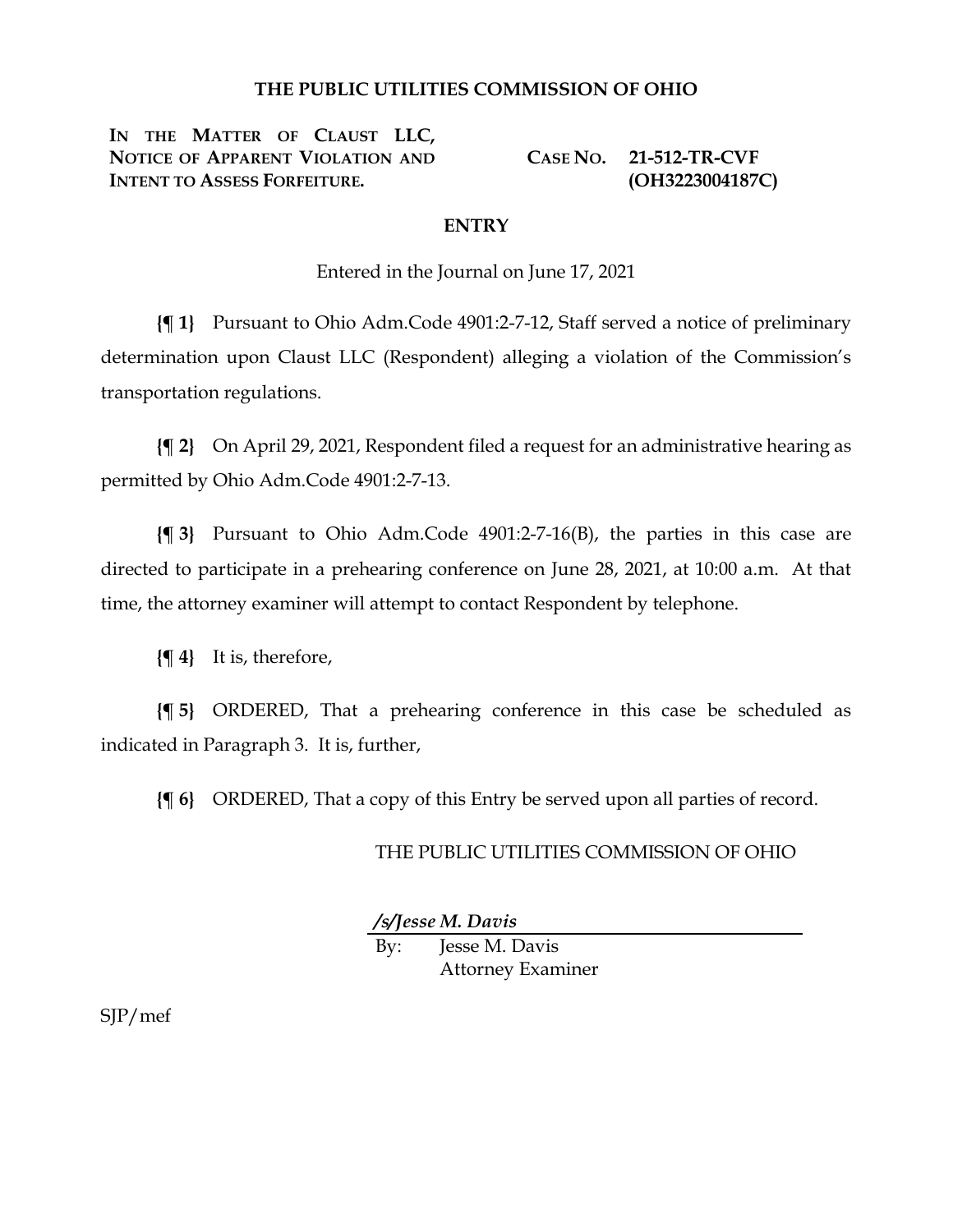## **THE PUBLIC UTILITIES COMMISSION OF OHIO**

**IN THE MATTER OF CLAUST LLC, NOTICE OF APPARENT VIOLATION AND INTENT TO ASSESS FORFEITURE.**

**CASE NO. 21-512-TR-CVF (OH3223004187C)**

## **ENTRY**

Entered in the Journal on June 17, 2021

**{¶ 1}** Pursuant to Ohio Adm.Code 4901:2-7-12, Staff served a notice of preliminary determination upon Claust LLC (Respondent) alleging a violation of the Commission's transportation regulations.

**{¶ 2}** On April 29, 2021, Respondent filed a request for an administrative hearing as permitted by Ohio Adm.Code 4901:2-7-13.

**{¶ 3}** Pursuant to Ohio Adm.Code 4901:2-7-16(B), the parties in this case are directed to participate in a prehearing conference on June 28, 2021, at 10:00 a.m. At that time, the attorney examiner will attempt to contact Respondent by telephone.

**{¶ 4}** It is, therefore,

**{¶ 5}** ORDERED, That a prehearing conference in this case be scheduled as indicated in Paragraph 3. It is, further,

**{¶ 6}** ORDERED, That a copy of this Entry be served upon all parties of record.

## THE PUBLIC UTILITIES COMMISSION OF OHIO

*/s/Jesse M. Davis*

By: Jesse M. Davis Attorney Examiner

SJP/mef